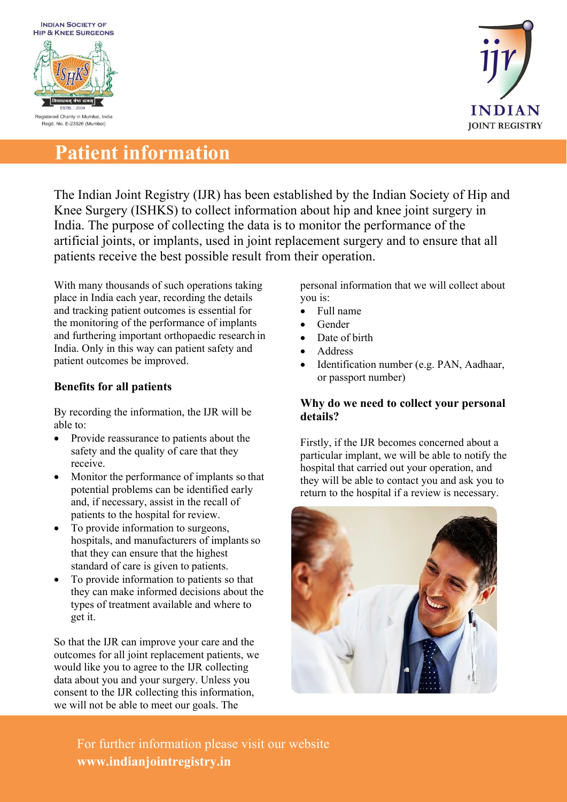



# **Patient information**

The Indian Joint Registry (IJR) has been established by the Indian Society of Hip and Knee Surgery (ISHKS) to collect information about hip and knee joint surgery in India. The purpose of collecting the data is to monitor the performance of the artificial joints, or implants, used in joint replacement surgery and to ensure that all patients receive the best possible result from their operation.

With many thousands of such operations taking place in India each year, recording the details and tracking patient outcomes is essential for the monitoring of the performance of implants and furthering important orthopaedic research in India. Only in this way can patient safety and patient outcomes be improved.

## **Benefits for all patients**

By recording the information, the IJR will be able to:

- Provide reassurance to patients about the safety and the quality of care that they receive.
- Monitor the performance of implants so that potential problems can be identified early and, if necessary, assist in the recall of patients to the hospital for review.
- To provide information to surgeons, hospitals, and manufacturers of implants so that they can ensure that the highest standard of care is given to patients.
- To provide information to patients so that they can make informed decisions about the types of treatment available and where to get it.

So that the IJR can improve your care and the outcomes for all joint replacement patients, we would like you to agree to the IJR collecting data about you and your surgery. Unless you consent to the IJR collecting this information, we will not be able to meet our goals. The

personal information that we will collect about you is:

- Full name
- Gender
- Date of birth
- Address
- Identification number (e.g. PAN, Aadhaar, or passport number)

#### **Why do we need to collect your personal details?**

Firstly, if the IJR becomes concerned about a particular implant, we will be able to notify the hospital that carried out your operation, and they will be able to contact you and ask you to return to the hospital if a review is necessary.



For further information please visit our website **[www.indianjointregistry.in](http://www.indianjointregistry.in/)**